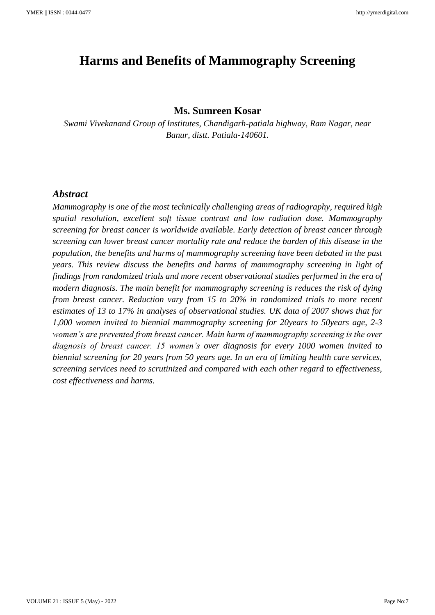# **Harms and Benefits of Mammography Screening**

## **Ms. Sumreen Kosar**

*Swami Vivekanand Group of Institutes, Chandigarh-patiala highway, Ram Nagar, near Banur, distt. Patiala-140601.*

# *Abstract*

*Mammography is one of the most technically challenging areas of radiography, required high spatial resolution, excellent soft tissue contrast and low radiation dose. Mammography screening for breast cancer is worldwide available. Early detection of breast cancer through screening can lower breast cancer mortality rate and reduce the burden of this disease in the population, the benefits and harms of mammography screening have been debated in the past years. This review discuss the benefits and harms of mammography screening in light of findings from randomized trials and more recent observational studies performed in the era of modern diagnosis. The main benefit for mammography screening is reduces the risk of dying from breast cancer. Reduction vary from 15 to 20% in randomized trials to more recent estimates of 13 to 17% in analyses of observational studies. UK data of 2007 shows that for 1,000 women invited to biennial mammography screening for 20years to 50years age, 2-3 women's are prevented from breast cancer. Main harm of mammography screening is the over diagnosis of breast cancer. 15 women's over diagnosis for every 1000 women invited to biennial screening for 20 years from 50 years age. In an era of limiting health care services, screening services need to scrutinized and compared with each other regard to effectiveness, cost effectiveness and harms.*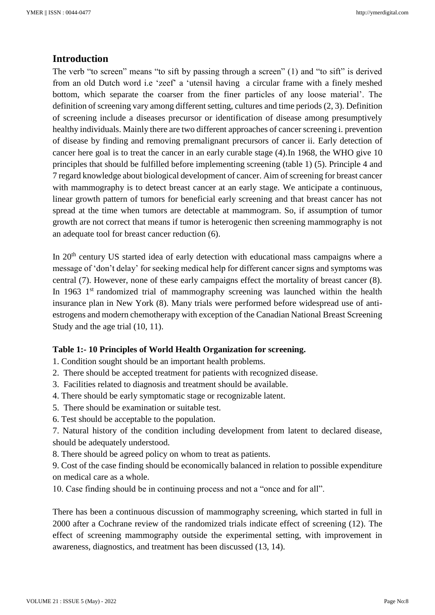# **Introduction**

The verb "to screen" means "to sift by passing through a screen" (1) and "to sift" is derived from an old Dutch word i.e 'zeef' a 'utensil having a circular frame with a finely meshed bottom, which separate the coarser from the finer particles of any loose material'. The definition of screening vary among different setting, cultures and time periods (2, 3). Definition of screening include a diseases precursor or identification of disease among presumptively healthy individuals. Mainly there are two different approaches of cancer screening i. prevention of disease by finding and removing premalignant precursors of cancer ii. Early detection of cancer here goal is to treat the cancer in an early curable stage (4).In 1968, the WHO give 10 principles that should be fulfilled before implementing screening (table 1) (5). Principle 4 and 7 regard knowledge about biological development of cancer. Aim of screening for breast cancer with mammography is to detect breast cancer at an early stage. We anticipate a continuous, linear growth pattern of tumors for beneficial early screening and that breast cancer has not spread at the time when tumors are detectable at mammogram. So, if assumption of tumor growth are not correct that means if tumor is heterogenic then screening mammography is not an adequate tool for breast cancer reduction (6).

In 20<sup>th</sup> century US started idea of early detection with educational mass campaigns where a message of 'don't delay' for seeking medical help for different cancer signs and symptoms was central (7). However, none of these early campaigns effect the mortality of breast cancer (8). In 1963  $1<sup>st</sup>$  randomized trial of mammography screening was launched within the health insurance plan in New York (8). Many trials were performed before widespread use of antiestrogens and modern chemotherapy with exception of the Canadian National Breast Screening Study and the age trial (10, 11).

#### **Table 1:- 10 Principles of World Health Organization for screening.**

1. Condition sought should be an important health problems.

- 2. There should be accepted treatment for patients with recognized disease.
- 3. Facilities related to diagnosis and treatment should be available.
- 4. There should be early symptomatic stage or recognizable latent.
- 5. There should be examination or suitable test.
- 6. Test should be acceptable to the population.

7. Natural history of the condition including development from latent to declared disease, should be adequately understood.

8. There should be agreed policy on whom to treat as patients.

9. Cost of the case finding should be economically balanced in relation to possible expenditure on medical care as a whole.

10. Case finding should be in continuing process and not a "once and for all".

There has been a continuous discussion of mammography screening, which started in full in 2000 after a Cochrane review of the randomized trials indicate effect of screening (12). The effect of screening mammography outside the experimental setting, with improvement in awareness, diagnostics, and treatment has been discussed (13, 14).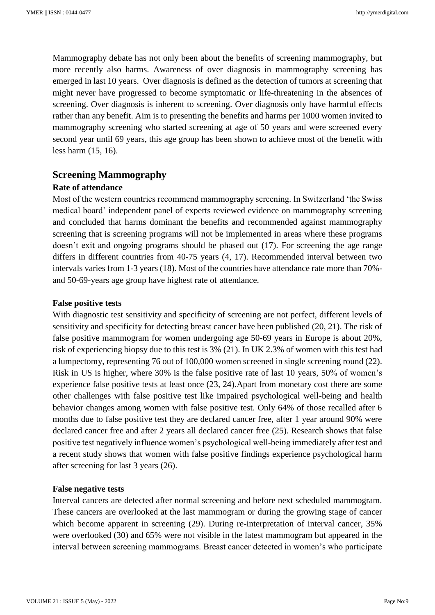Mammography debate has not only been about the benefits of screening mammography, but more recently also harms. Awareness of over diagnosis in mammography screening has emerged in last 10 years. Over diagnosis is defined as the detection of tumors at screening that might never have progressed to become symptomatic or life-threatening in the absences of screening. Over diagnosis is inherent to screening. Over diagnosis only have harmful effects rather than any benefit. Aim is to presenting the benefits and harms per 1000 women invited to mammography screening who started screening at age of 50 years and were screened every second year until 69 years, this age group has been shown to achieve most of the benefit with less harm (15, 16).

# **Screening Mammography**

#### **Rate of attendance**

Most of the western countries recommend mammography screening. In Switzerland 'the Swiss medical board' independent panel of experts reviewed evidence on mammography screening and concluded that harms dominant the benefits and recommended against mammography screening that is screening programs will not be implemented in areas where these programs doesn't exit and ongoing programs should be phased out (17). For screening the age range differs in different countries from 40-75 years (4, 17). Recommended interval between two intervals varies from 1-3 years (18). Most of the countries have attendance rate more than 70% and 50-69-years age group have highest rate of attendance.

## **False positive tests**

With diagnostic test sensitivity and specificity of screening are not perfect, different levels of sensitivity and specificity for detecting breast cancer have been published (20, 21). The risk of false positive mammogram for women undergoing age 50-69 years in Europe is about 20%, risk of experiencing biopsy due to this test is 3% (21). In UK 2.3% of women with this test had a lumpectomy, representing 76 out of 100,000 women screened in single screening round (22). Risk in US is higher, where 30% is the false positive rate of last 10 years, 50% of women's experience false positive tests at least once (23, 24).Apart from monetary cost there are some other challenges with false positive test like impaired psychological well-being and health behavior changes among women with false positive test. Only 64% of those recalled after 6 months due to false positive test they are declared cancer free, after 1 year around 90% were declared cancer free and after 2 years all declared cancer free (25). Research shows that false positive test negatively influence women's psychological well-being immediately after test and a recent study shows that women with false positive findings experience psychological harm after screening for last 3 years (26).

#### **False negative tests**

Interval cancers are detected after normal screening and before next scheduled mammogram. These cancers are overlooked at the last mammogram or during the growing stage of cancer which become apparent in screening (29). During re-interpretation of interval cancer, 35% were overlooked (30) and 65% were not visible in the latest mammogram but appeared in the interval between screening mammograms. Breast cancer detected in women's who participate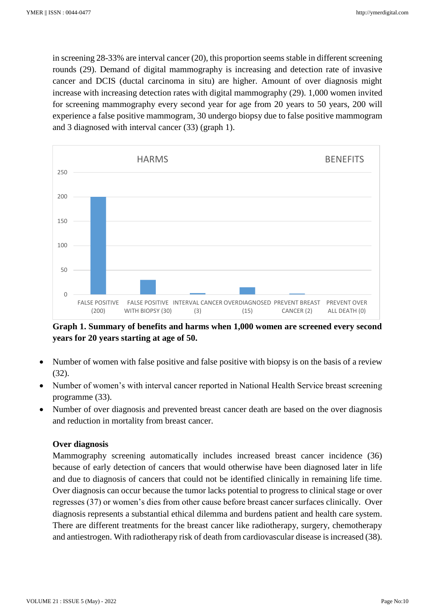in screening 28-33% are interval cancer (20), this proportion seems stable in different screening rounds (29). Demand of digital mammography is increasing and detection rate of invasive cancer and DCIS (ductal carcinoma in situ) are higher. Amount of over diagnosis might increase with increasing detection rates with digital mammography (29). 1,000 women invited for screening mammography every second year for age from 20 years to 50 years, 200 will experience a false positive mammogram, 30 undergo biopsy due to false positive mammogram and 3 diagnosed with interval cancer (33) (graph 1).



**Graph 1. Summary of benefits and harms when 1,000 women are screened every second years for 20 years starting at age of 50.**

- Number of women with false positive and false positive with biopsy is on the basis of a review (32).
- Number of women's with interval cancer reported in National Health Service breast screening programme (33).
- Number of over diagnosis and prevented breast cancer death are based on the over diagnosis and reduction in mortality from breast cancer.

#### **Over diagnosis**

Mammography screening automatically includes increased breast cancer incidence (36) because of early detection of cancers that would otherwise have been diagnosed later in life and due to diagnosis of cancers that could not be identified clinically in remaining life time. Over diagnosis can occur because the tumor lacks potential to progress to clinical stage or over regresses (37) or women's dies from other cause before breast cancer surfaces clinically. Over diagnosis represents a substantial ethical dilemma and burdens patient and health care system. There are different treatments for the breast cancer like radiotherapy, surgery, chemotherapy and antiestrogen. With radiotherapy risk of death from cardiovascular disease is increased (38).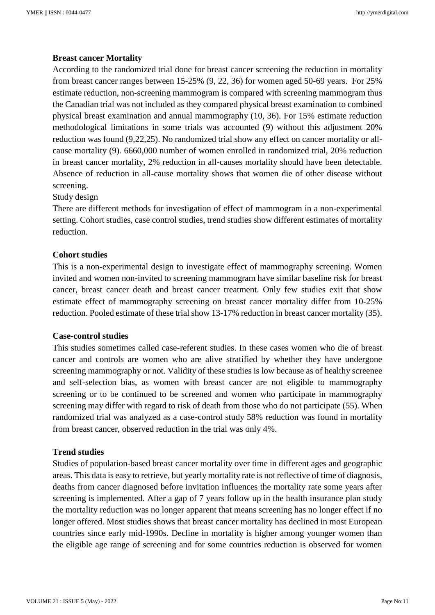## **Breast cancer Mortality**

According to the randomized trial done for breast cancer screening the reduction in mortality from breast cancer ranges between 15-25% (9, 22, 36) for women aged 50-69 years. For 25% estimate reduction, non-screening mammogram is compared with screening mammogram thus the Canadian trial was not included as they compared physical breast examination to combined physical breast examination and annual mammography (10, 36). For 15% estimate reduction methodological limitations in some trials was accounted (9) without this adjustment 20% reduction was found (9,22,25). No randomized trial show any effect on cancer mortality or allcause mortality (9). 6660,000 number of women enrolled in randomized trial, 20% reduction in breast cancer mortality, 2% reduction in all-causes mortality should have been detectable. Absence of reduction in all-cause mortality shows that women die of other disease without screening.

#### Study design

There are different methods for investigation of effect of mammogram in a non-experimental setting. Cohort studies, case control studies, trend studies show different estimates of mortality reduction.

#### **Cohort studies**

This is a non-experimental design to investigate effect of mammography screening. Women invited and women non-invited to screening mammogram have similar baseline risk for breast cancer, breast cancer death and breast cancer treatment. Only few studies exit that show estimate effect of mammography screening on breast cancer mortality differ from 10-25% reduction. Pooled estimate of these trial show 13-17% reduction in breast cancer mortality (35).

#### **Case-control studies**

This studies sometimes called case-referent studies. In these cases women who die of breast cancer and controls are women who are alive stratified by whether they have undergone screening mammography or not. Validity of these studies is low because as of healthy screenee and self-selection bias, as women with breast cancer are not eligible to mammography screening or to be continued to be screened and women who participate in mammography screening may differ with regard to risk of death from those who do not participate (55). When randomized trial was analyzed as a case-control study 58% reduction was found in mortality from breast cancer, observed reduction in the trial was only 4%.

## **Trend studies**

Studies of population-based breast cancer mortality over time in different ages and geographic areas. This data is easy to retrieve, but yearly mortality rate is not reflective of time of diagnosis, deaths from cancer diagnosed before invitation influences the mortality rate some years after screening is implemented. After a gap of 7 years follow up in the health insurance plan study the mortality reduction was no longer apparent that means screening has no longer effect if no longer offered. Most studies shows that breast cancer mortality has declined in most European countries since early mid-1990s. Decline in mortality is higher among younger women than the eligible age range of screening and for some countries reduction is observed for women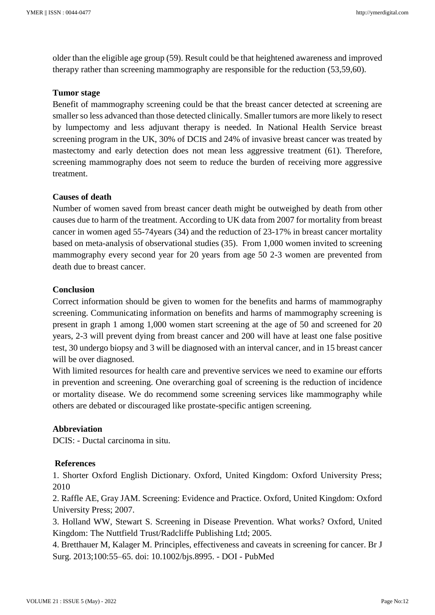older than the eligible age group (59). Result could be that heightened awareness and improved therapy rather than screening mammography are responsible for the reduction (53,59,60).

#### **Tumor stage**

Benefit of mammography screening could be that the breast cancer detected at screening are smaller so less advanced than those detected clinically. Smaller tumors are more likely to resect by lumpectomy and less adjuvant therapy is needed. In National Health Service breast screening program in the UK, 30% of DCIS and 24% of invasive breast cancer was treated by mastectomy and early detection does not mean less aggressive treatment (61). Therefore, screening mammography does not seem to reduce the burden of receiving more aggressive treatment.

#### **Causes of death**

Number of women saved from breast cancer death might be outweighed by death from other causes due to harm of the treatment. According to UK data from 2007 for mortality from breast cancer in women aged 55-74years (34) and the reduction of 23-17% in breast cancer mortality based on meta-analysis of observational studies (35). From 1,000 women invited to screening mammography every second year for 20 years from age 50 2-3 women are prevented from death due to breast cancer.

#### **Conclusion**

Correct information should be given to women for the benefits and harms of mammography screening. Communicating information on benefits and harms of mammography screening is present in graph 1 among 1,000 women start screening at the age of 50 and screened for 20 years, 2-3 will prevent dying from breast cancer and 200 will have at least one false positive test, 30 undergo biopsy and 3 will be diagnosed with an interval cancer, and in 15 breast cancer will be over diagnosed.

With limited resources for health care and preventive services we need to examine our efforts in prevention and screening. One overarching goal of screening is the reduction of incidence or mortality disease. We do recommend some screening services like mammography while others are debated or discouraged like prostate-specific antigen screening.

## **Abbreviation**

DCIS: - Ductal carcinoma in situ.

#### **References**

1. Shorter Oxford English Dictionary. Oxford, United Kingdom: Oxford University Press; 2010

2. Raffle AE, Gray JAM. Screening: Evidence and Practice. Oxford, United Kingdom: Oxford University Press; 2007.

3. Holland WW, Stewart S. Screening in Disease Prevention. What works? Oxford, United Kingdom: The Nuttfield Trust/Radcliffe Publishing Ltd; 2005.

4. Bretthauer M, Kalager M. Principles, effectiveness and caveats in screening for cancer. Br J Surg. 2013;100:55–65. doi: 10.1002/bjs.8995. - DOI - PubMed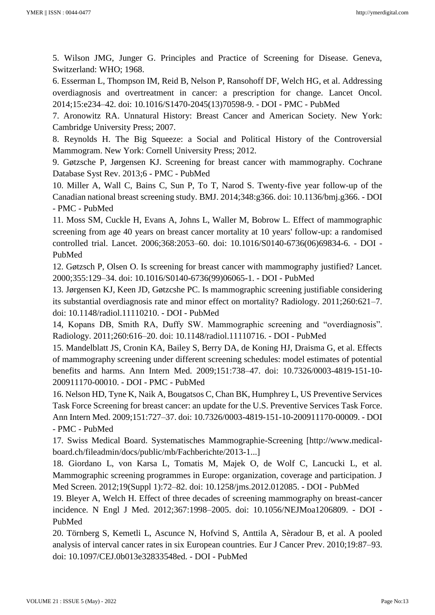5. Wilson JMG, Junger G. Principles and Practice of Screening for Disease. Geneva, Switzerland: WHO; 1968.

6. Esserman L, Thompson IM, Reid B, Nelson P, Ransohoff DF, Welch HG, et al. Addressing overdiagnosis and overtreatment in cancer: a prescription for change. Lancet Oncol. 2014;15:e234–42. doi: 10.1016/S1470-2045(13)70598-9. - DOI - PMC - PubMed

7. Aronowitz RA. Unnatural History: Breast Cancer and American Society. New York: Cambridge University Press; 2007.

8. Reynolds H. The Big Squeeze: a Social and Political History of the Controversial Mammogram. New York: Cornell University Press; 2012.

9. Gøtzsche P, Jørgensen KJ. Screening for breast cancer with mammography. Cochrane Database Syst Rev. 2013;6 - PMC - PubMed

10. Miller A, Wall C, Bains C, Sun P, To T, Narod S. Twenty-five year follow-up of the Canadian national breast screening study. BMJ. 2014;348:g366. doi: 10.1136/bmj.g366. - DOI - PMC - PubMed

11. Moss SM, Cuckle H, Evans A, Johns L, Waller M, Bobrow L. Effect of mammographic screening from age 40 years on breast cancer mortality at 10 years' follow-up: a randomised controlled trial. Lancet. 2006;368:2053–60. doi: 10.1016/S0140-6736(06)69834-6. - DOI - PubMed

12. Gøtzsch P, Olsen O. Is screening for breast cancer with mammography justified? Lancet. 2000;355:129–34. doi: 10.1016/S0140-6736(99)06065-1. - DOI - PubMed

13. Jørgensen KJ, Keen JD, Gøtzcshe PC. Is mammographic screening justifiable considering its substantial overdiagnosis rate and minor effect on mortality? Radiology. 2011;260:621–7. doi: 10.1148/radiol.11110210. - DOI - PubMed

14, Kopans DB, Smith RA, Duffy SW. Mammographic screening and "overdiagnosis". Radiology. 2011;260:616–20. doi: 10.1148/radiol.11110716. - DOI - PubMed

15. Mandelblatt JS, Cronin KA, Bailey S, Berry DA, de Koning HJ, Draisma G, et al. Effects of mammography screening under different screening schedules: model estimates of potential benefits and harms. Ann Intern Med. 2009;151:738–47. doi: 10.7326/0003-4819-151-10- 200911170-00010. - DOI - PMC - PubMed

16. Nelson HD, Tyne K, Naik A, Bougatsos C, Chan BK, Humphrey L, US Preventive Services Task Force Screening for breast cancer: an update for the U.S. Preventive Services Task Force. Ann Intern Med. 2009;151:727–37. doi: 10.7326/0003-4819-151-10-200911170-00009. - DOI - PMC - PubMed

17. Swiss Medical Board. Systematisches Mammographie-Screening [http://www.medicalboard.ch/fileadmin/docs/public/mb/Fachberichte/2013-1...]

18. Giordano L, von Karsa L, Tomatis M, Majek O, de Wolf C, Lancucki L, et al. Mammographic screening programmes in Europe: organization, coverage and participation. J Med Screen. 2012;19(Suppl 1):72–82. doi: 10.1258/jms.2012.012085. - DOI - PubMed

19. Bleyer A, Welch H. Effect of three decades of screening mammography on breast-cancer incidence. N Engl J Med. 2012;367:1998–2005. doi: 10.1056/NEJMoa1206809. - DOI - PubMed

20. Törnberg S, Kemetli L, Ascunce N, Hofvind S, Anttila A, Sèradour B, et al. A pooled analysis of interval cancer rates in six European countries. Eur J Cancer Prev. 2010;19:87–93. doi: 10.1097/CEJ.0b013e32833548ed. - DOI - PubMed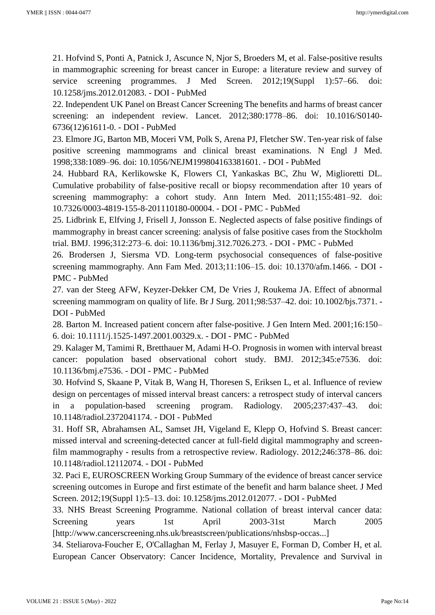21. Hofvind S, Ponti A, Patnick J, Ascunce N, Njor S, Broeders M, et al. False-positive results in mammographic screening for breast cancer in Europe: a literature review and survey of service screening programmes. J Med Screen. 2012;19(Suppl 1):57–66. doi: 10.1258/jms.2012.012083. - DOI - PubMed

22. Independent UK Panel on Breast Cancer Screening The benefits and harms of breast cancer screening: an independent review. Lancet. 2012;380:1778–86. doi: 10.1016/S0140- 6736(12)61611-0. - DOI - PubMed

23. Elmore JG, Barton MB, Moceri VM, Polk S, Arena PJ, Fletcher SW. Ten-year risk of false positive screening mammograms and clinical breast examinations. N Engl J Med. 1998;338:1089–96. doi: 10.1056/NEJM199804163381601. - DOI - PubMed

24. Hubbard RA, Kerlikowske K, Flowers CI, Yankaskas BC, Zhu W, Miglioretti DL. Cumulative probability of false-positive recall or biopsy recommendation after 10 years of screening mammography: a cohort study. Ann Intern Med. 2011;155:481–92. doi: 10.7326/0003-4819-155-8-201110180-00004. - DOI - PMC - PubMed

25. Lidbrink E, Elfving J, Frisell J, Jonsson E. Neglected aspects of false positive findings of mammography in breast cancer screening: analysis of false positive cases from the Stockholm trial. BMJ. 1996;312:273–6. doi: 10.1136/bmj.312.7026.273. - DOI - PMC - PubMed

26. Brodersen J, Siersma VD. Long-term psychosocial consequences of false-positive screening mammography. Ann Fam Med. 2013;11:106–15. doi: 10.1370/afm.1466. - DOI - PMC - PubMed

27. van der Steeg AFW, Keyzer-Dekker CM, De Vries J, Roukema JA. Effect of abnormal screening mammogram on quality of life. Br J Surg. 2011;98:537–42. doi: 10.1002/bjs.7371. - DOI - PubMed

28. Barton M. Increased patient concern after false-positive. J Gen Intern Med. 2001;16:150– 6. doi: 10.1111/j.1525-1497.2001.00329.x. - DOI - PMC - PubMed

29. Kalager M, Tamimi R, Bretthauer M, Adami H-O. Prognosis in women with interval breast cancer: population based observational cohort study. BMJ. 2012;345:e7536. doi: 10.1136/bmj.e7536. - DOI - PMC - PubMed

30. Hofvind S, Skaane P, Vitak B, Wang H, Thoresen S, Eriksen L, et al. Influence of review design on percentages of missed interval breast cancers: a retrospect study of interval cancers in a population-based screening program. Radiology. 2005;237:437–43. doi: 10.1148/radiol.2372041174. - DOI - PubMed

31. Hoff SR, Abrahamsen AL, Samset JH, Vigeland E, Klepp O, Hofvind S. Breast cancer: missed interval and screening-detected cancer at full-field digital mammography and screenfilm mammography - results from a retrospective review. Radiology. 2012;246:378–86. doi: 10.1148/radiol.12112074. - DOI - PubMed

32. Paci E, EUROSCREEN Working Group Summary of the evidence of breast cancer service screening outcomes in Europe and first estimate of the benefit and harm balance sheet. J Med Screen. 2012;19(Suppl 1):5–13. doi: 10.1258/jms.2012.012077. - DOI - PubMed

33. NHS Breast Screening Programme. National collation of breast interval cancer data: Screening years 1st April 2003-31st March 2005 [http://www.cancerscreening.nhs.uk/breastscreen/publications/nhsbsp-occas...]

34. Steliarova-Foucher E, O'Callaghan M, Ferlay J, Masuyer E, Forman D, Comber H, et al. European Cancer Observatory: Cancer Incidence, Mortality, Prevalence and Survival in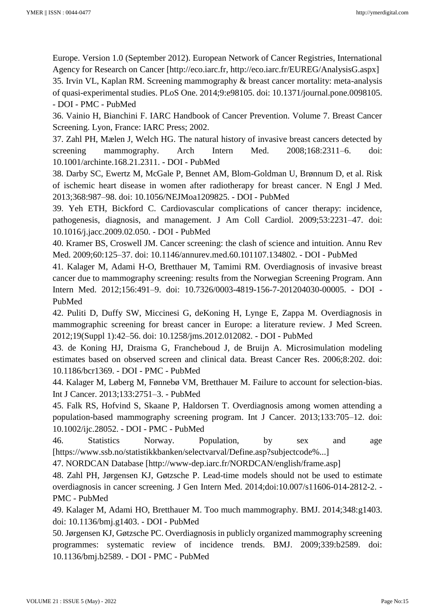Europe. Version 1.0 (September 2012). European Network of Cancer Registries, International Agency for Research on Cancer [http://eco.iarc.fr, http://eco.iarc.fr/EUREG/AnalysisG.aspx] 35. Irvin VL, Kaplan RM. Screening mammography & breast cancer mortality: meta-analysis of quasi-experimental studies. PLoS One. 2014;9:e98105. doi: 10.1371/journal.pone.0098105. - DOI - PMC - PubMed

36. Vainio H, Bianchini F. IARC Handbook of Cancer Prevention. Volume 7. Breast Cancer Screening. Lyon, France: IARC Press; 2002.

37. Zahl PH, Mælen J, Welch HG. The natural history of invasive breast cancers detected by screening mammography. Arch Intern Med. 2008;168:2311–6. doi: 10.1001/archinte.168.21.2311. - DOI - PubMed

38. Darby SC, Ewertz M, McGale P, Bennet AM, Blom-Goldman U, Brønnum D, et al. Risk of ischemic heart disease in women after radiotherapy for breast cancer. N Engl J Med. 2013;368:987–98. doi: 10.1056/NEJMoa1209825. - DOI - PubMed

39. Yeh ETH, Bickford C. Cardiovascular complications of cancer therapy: incidence, pathogenesis, diagnosis, and management. J Am Coll Cardiol. 2009;53:2231–47. doi: 10.1016/j.jacc.2009.02.050. - DOI - PubMed

40. Kramer BS, Croswell JM. Cancer screening: the clash of science and intuition. Annu Rev Med. 2009;60:125–37. doi: 10.1146/annurev.med.60.101107.134802. - DOI - PubMed

41. Kalager M, Adami H-O, Bretthauer M, Tamimi RM. Overdiagnosis of invasive breast cancer due to mammography screening: results from the Norwegian Screening Program. Ann Intern Med. 2012;156:491–9. doi: 10.7326/0003-4819-156-7-201204030-00005. - DOI - PubMed

42. Puliti D, Duffy SW, Miccinesi G, deKoning H, Lynge E, Zappa M. Overdiagnosis in mammographic screening for breast cancer in Europe: a literature review. J Med Screen. 2012;19(Suppl 1):42–56. doi: 10.1258/jms.2012.012082. - DOI - PubMed

43. de Koning HJ, Draisma G, Francheboud J, de Bruijn A. Microsimulation modeling estimates based on observed screen and clinical data. Breast Cancer Res. 2006;8:202. doi: 10.1186/bcr1369. - DOI - PMC - PubMed

44. Kalager M, Løberg M, Fønnebø VM, Bretthauer M. Failure to account for selection-bias. Int J Cancer. 2013;133:2751–3. - PubMed

45. Falk RS, Hofvind S, Skaane P, Haldorsen T. Overdiagnosis among women attending a population-based mammography screening program. Int J Cancer. 2013;133:705–12. doi: 10.1002/ijc.28052. - DOI - PMC - PubMed

46. Statistics Norway. Population, by sex and age [https://www.ssb.no/statistikkbanken/selectvarval/Define.asp?subjectcode%...]

47. NORDCAN Database [http://www-dep.iarc.fr/NORDCAN/english/frame.asp]

48. Zahl PH, Jørgensen KJ, Gøtzsche P. Lead-time models should not be used to estimate overdiagnosis in cancer screening. J Gen Intern Med. 2014;doi:10.007/s11606-014-2812-2. - PMC - PubMed

49. Kalager M, Adami HO, Bretthauer M. Too much mammography. BMJ. 2014;348:g1403. doi: 10.1136/bmj.g1403. - DOI - PubMed

50. Jørgensen KJ, Gøtzsche PC. Overdiagnosis in publicly organized mammography screening programmes: systematic review of incidence trends. BMJ. 2009;339:b2589. doi: 10.1136/bmj.b2589. - DOI - PMC - PubMed